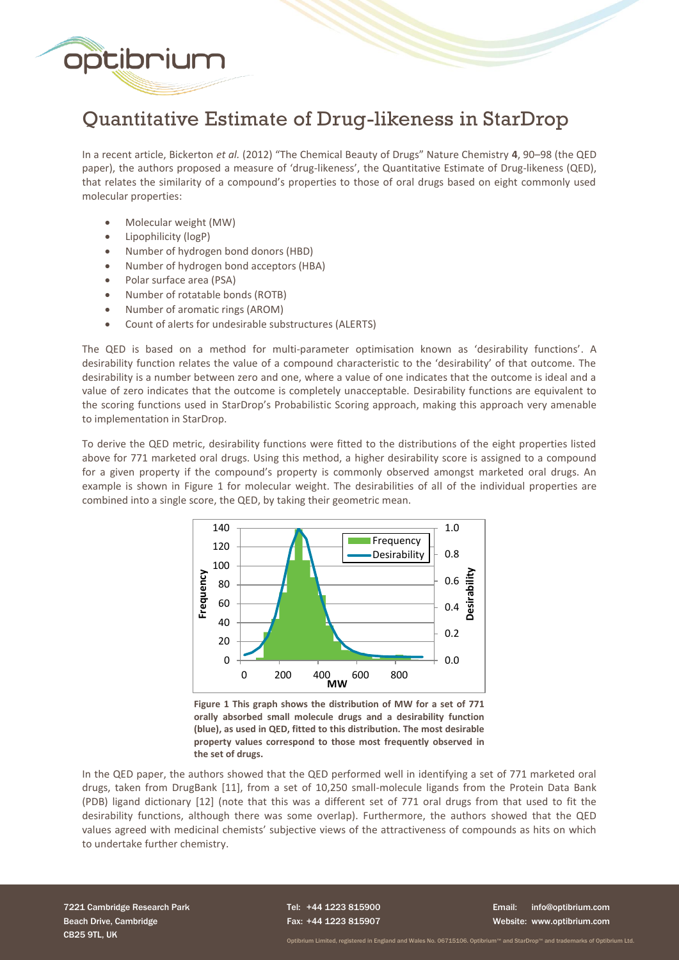

# Quantitative Estimate of Drug-likeness in StarDrop

In a recent article, Bickerton *et al.* (2012) "The Chemical Beauty of Drugs" Nature Chemistry **4**, 90–98 (the QED paper), the authors proposed a measure of 'drug-likeness', the Quantitative Estimate of Drug-likeness (QED), that relates the similarity of a compound's properties to those of oral drugs based on eight commonly used molecular properties:

- Molecular weight (MW)
- Lipophilicity (logP)
- Number of hydrogen bond donors (HBD)
- Number of hydrogen bond acceptors (HBA)
- Polar surface area (PSA)
- Number of rotatable bonds (ROTB)
- Number of aromatic rings (AROM)
- Count of alerts for undesirable substructures (ALERTS)

The QED is based on a method for multi-parameter optimisation known as 'desirability functions'. A desirability function relates the value of a compound characteristic to the 'desirability' of that outcome. The desirability is a number between zero and one, where a value of one indicates that the outcome is ideal and a value of zero indicates that the outcome is completely unacceptable. Desirability functions are equivalent to the scoring functions used in StarDrop's Probabilistic Scoring approach, making this approach very amenable to implementation in StarDrop.

To derive the QED metric, desirability functions were fitted to the distributions of the eight properties listed above for 771 marketed oral drugs. Using this method, a higher desirability score is assigned to a compound for a given property if the compound's property is commonly observed amongst marketed oral drugs. An example is shown in Figure 1 for molecular weight. The desirabilities of all of the individual properties are combined into a single score, the QED, by taking their geometric mean.



**Figure 1 This graph shows the distribution of MW for a set of 771 orally absorbed small molecule drugs and a desirability function (blue), as used in QED, fitted to this distribution. The most desirable property values correspond to those most frequently observed in the set of drugs.**

In the QED paper, the authors showed that the QED performed well in identifying a set of 771 marketed oral drugs, taken from DrugBank [11], from a set of 10,250 small-molecule ligands from the Protein Data Bank (PDB) ligand dictionary [12] (note that this was a different set of 771 oral drugs from that used to fit the desirability functions, although there was some overlap). Furthermore, the authors showed that the QED values agreed with medicinal chemists' subjective views of the attractiveness of compounds as hits on which to undertake further chemistry.

7221 Cambridge Research Park Beach Drive, Cambridge CB25 9TL, UK

Tel: +44 1223 815900 Fax: +44 1223 815907

Email: info@optibrium.com Website: www.optibrium.com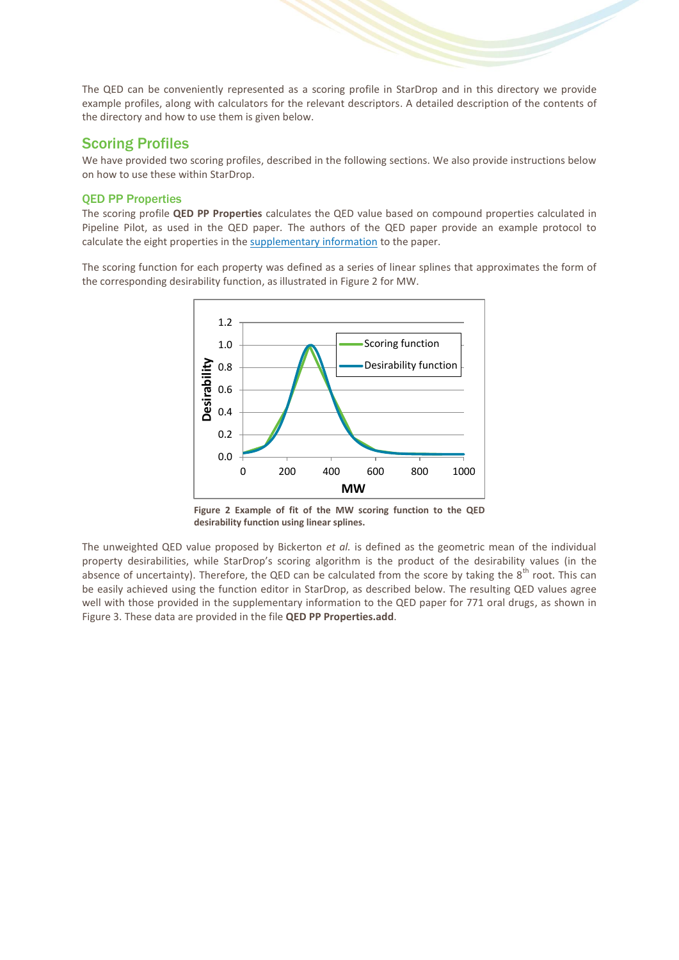The QED can be conveniently represented as a scoring profile in StarDrop and in this directory we provide example profiles, along with calculators for the relevant descriptors. A detailed description of the contents of the directory and how to use them is given below.

### Scoring Profiles

We have provided two scoring profiles, described in the following sections. We also provide instructions below on how to use these within StarDrop.

#### QED PP Properties

The scoring profile **QED PP Properties** calculates the QED value based on compound properties calculated in Pipeline Pilot, as used in the QED paper*.* The authors of the QED paper provide an example protocol to calculate the eight properties in th[e supplementary information](http://www.nature.com/nchem/journal/v4/n2/full/nchem.1243.html#supplementary-information) to the paper.

The scoring function for each property was defined as a series of linear splines that approximates the form of the corresponding desirability function, as illustrated in Figure 2 for MW.



**Figure 2 Example of fit of the MW scoring function to the QED desirability function using linear splines.**

The unweighted QED value proposed by Bickerton *et al.* is defined as the geometric mean of the individual property desirabilities, while StarDrop's scoring algorithm is the product of the desirability values (in the absence of uncertainty). Therefore, the QED can be calculated from the score by taking the  $8^{th}$  root. This can be easily achieved using the function editor in StarDrop, as described below. The resulting QED values agree well with those provided in the supplementary information to the QED paper for 771 oral drugs, as shown in Figure 3. These data are provided in the file **QED PP Properties.add**.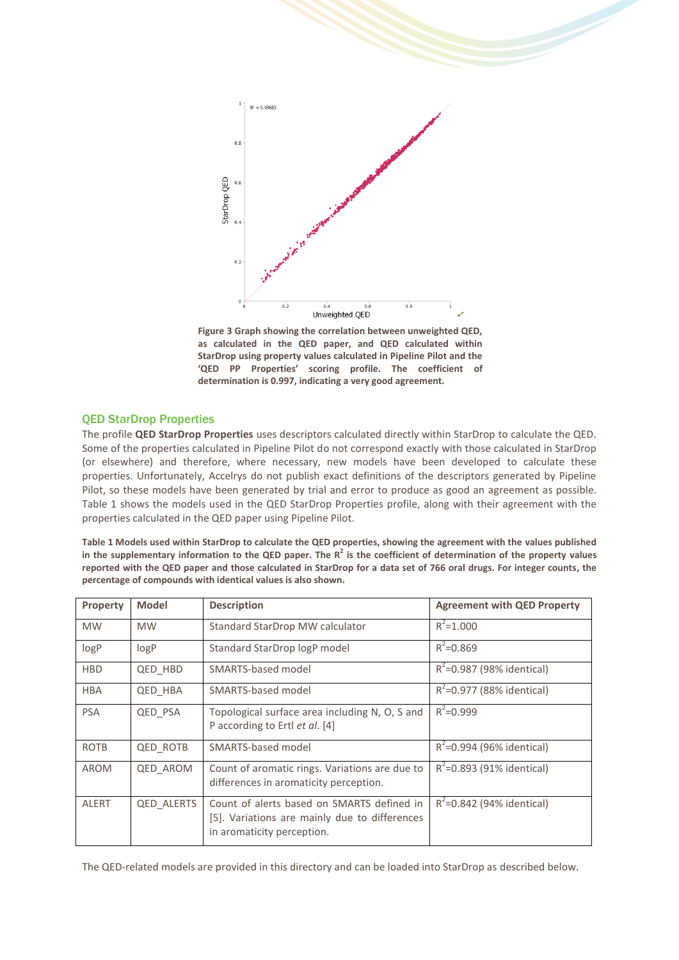

**Figure 3 Graph showing the correlation between unweighted QED, as calculated in the QED paper, and QED calculated within StarDrop using property values calculated in Pipeline Pilot and the 'QED PP Properties' scoring profile. The coefficient of determination is 0.997, indicating a very good agreement.**

#### QED StarDrop Properties

The profile **QED StarDrop Properties** uses descriptors calculated directly within StarDrop to calculate the QED. Some of the properties calculated in Pipeline Pilot do not correspond exactly with those calculated in StarDrop (or elsewhere) and therefore, where necessary, new models have been developed to calculate these properties. Unfortunately, Accelrys do not publish exact definitions of the descriptors generated by Pipeline Pilot, so these models have been generated by trial and error to produce as good an agreement as possible. Table 1 shows the models used in the QED StarDrop Properties profile, along with their agreement with the properties calculated in the QED paper using Pipeline Pilot.

**Table 1 Models used within StarDrop to calculate the QED properties, showing the agreement with the values published in the supplementary information to the QED paper. The R<sup>2</sup> is the coefficient of determination of the property values reported with the QED paper and those calculated in StarDrop for a data set of 766 oral drugs. For integer counts, the percentage of compounds with identical values is also shown.**

| Property     | <b>Model</b>    | <b>Description</b>                                                                                                        | <b>Agreement with QED Property</b> |
|--------------|-----------------|---------------------------------------------------------------------------------------------------------------------------|------------------------------------|
| <b>MW</b>    | <b>MW</b>       | Standard StarDrop MW calculator                                                                                           | $R^2$ =1.000                       |
| logP         | logP            | Standard StarDrop logP model                                                                                              | $R^2 = 0.869$                      |
| <b>HBD</b>   | QED HBD         | SMARTS-based model                                                                                                        | $R^2$ =0.987 (98% identical)       |
| <b>HBA</b>   | <b>QED HBA</b>  | SMARTS-based model                                                                                                        | $R^2$ =0.977 (88% identical)       |
| <b>PSA</b>   | <b>QED PSA</b>  | Topological surface area including N, O, S and<br>P according to Ertl et al. [4]                                          | $R^2 = 0.999$                      |
| <b>ROTB</b>  | QED ROTB        | SMARTS-based model                                                                                                        | $R^2$ =0.994 (96% identical)       |
| <b>AROM</b>  | <b>QED AROM</b> | Count of aromatic rings. Variations are due to<br>differences in aromaticity perception.                                  | $R^2$ =0.893 (91% identical)       |
| <b>ALERT</b> | QED ALERTS      | Count of alerts based on SMARTS defined in<br>[5]. Variations are mainly due to differences<br>in aromaticity perception. | $R^2$ =0.842 (94% identical)       |

The QED-related models are provided in this directory and can be loaded into StarDrop as described below.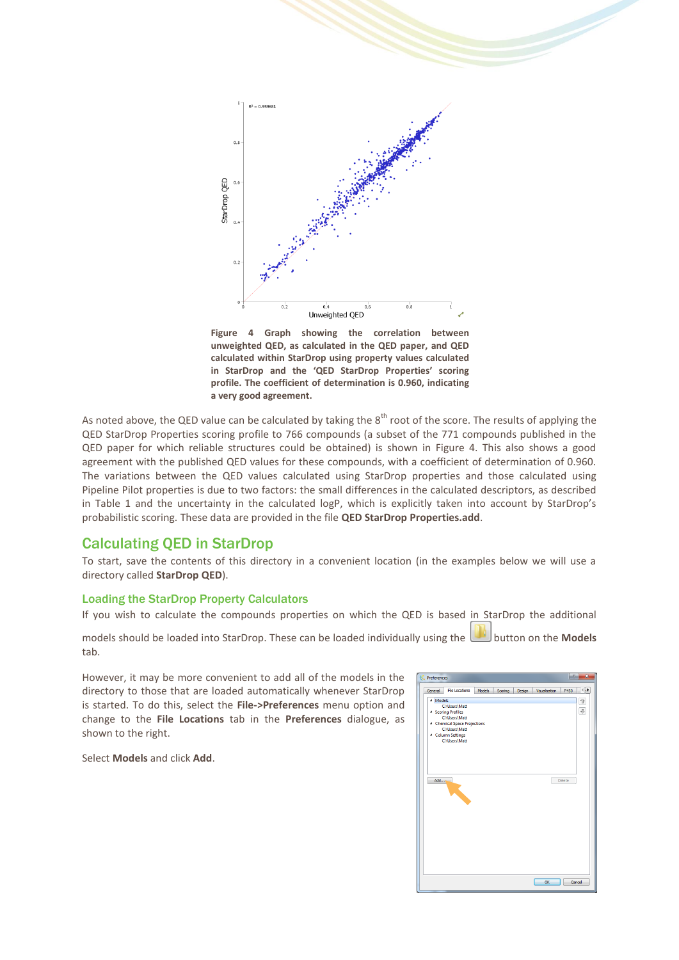

**Figure 4 Graph showing the correlation between unweighted QED, as calculated in the QED paper, and QED calculated within StarDrop using property values calculated in StarDrop and the 'QED StarDrop Properties' scoring profile. The coefficient of determination is 0.960, indicating a very good agreement.**

As noted above, the QED value can be calculated by taking the  $8<sup>th</sup>$  root of the score. The results of applying the QED StarDrop Properties scoring profile to 766 compounds (a subset of the 771 compounds published in the QED paper for which reliable structures could be obtained) is shown in Figure 4. This also shows a good agreement with the published QED values for these compounds, with a coefficient of determination of 0.960. The variations between the QED values calculated using StarDrop properties and those calculated using Pipeline Pilot properties is due to two factors: the small differences in the calculated descriptors, as described in Table 1 and the uncertainty in the calculated logP, which is explicitly taken into account by StarDrop's probabilistic scoring. These data are provided in the file **QED StarDrop Properties.add**.

## Calculating QED in StarDrop

To start, save the contents of this directory in a convenient location (in the examples below we will use a directory called **StarDrop QED**).

#### Loading the StarDrop Property Calculators

If you wish to calculate the compounds properties on which the QED is based in StarDrop the additional

models should be loaded into StarDrop. These can be loaded individually using the button on the **Models** tab.

livine.

However, it may be more convenient to add all of the models in the directory to those that are loaded automatically whenever StarDrop is started. To do this, select the **File->Preferences** menu option and change to the **File Locations** tab in the **Preferences** dialogue, as shown to the right.

Select **Models** and click **Add**.

| General             | <b>File Locations</b>              | <b>Models</b> | Scoring | Design | Visualisation | ∢∏≽<br>P450 |
|---------------------|------------------------------------|---------------|---------|--------|---------------|-------------|
| <sup>4</sup> Models |                                    |               |         |        |               | 企           |
|                     | <b>C:\Users\Matt</b>               |               |         |        |               |             |
|                     | <sup>4</sup> Scoring Profiles      |               |         |        |               | €           |
|                     | C:\Users\Matt                      |               |         |        |               |             |
|                     | 4 Chemical Space Projections       |               |         |        |               |             |
|                     | C:\Users\Matt                      |               |         |        |               |             |
|                     | ▲ Column Settings<br>C:\Users\Matt |               |         |        |               |             |
|                     |                                    |               |         |        |               |             |
|                     |                                    |               |         |        |               |             |
|                     |                                    |               |         |        |               |             |
|                     |                                    |               |         |        |               |             |
|                     |                                    |               |         |        |               |             |
|                     |                                    |               |         |        |               |             |
| Add                 |                                    |               |         |        |               | Delete      |
|                     |                                    |               |         |        |               |             |
|                     |                                    |               |         |        |               |             |
|                     |                                    |               |         |        |               |             |
|                     |                                    |               |         |        |               |             |
|                     |                                    |               |         |        |               |             |
|                     |                                    |               |         |        |               |             |
|                     |                                    |               |         |        |               |             |
|                     |                                    |               |         |        |               |             |
|                     |                                    |               |         |        |               |             |
|                     |                                    |               |         |        |               |             |
|                     |                                    |               |         |        |               |             |
|                     |                                    |               |         |        |               |             |
|                     |                                    |               |         |        |               |             |
|                     |                                    |               |         |        |               |             |
|                     |                                    |               |         |        |               |             |
|                     |                                    |               |         |        |               |             |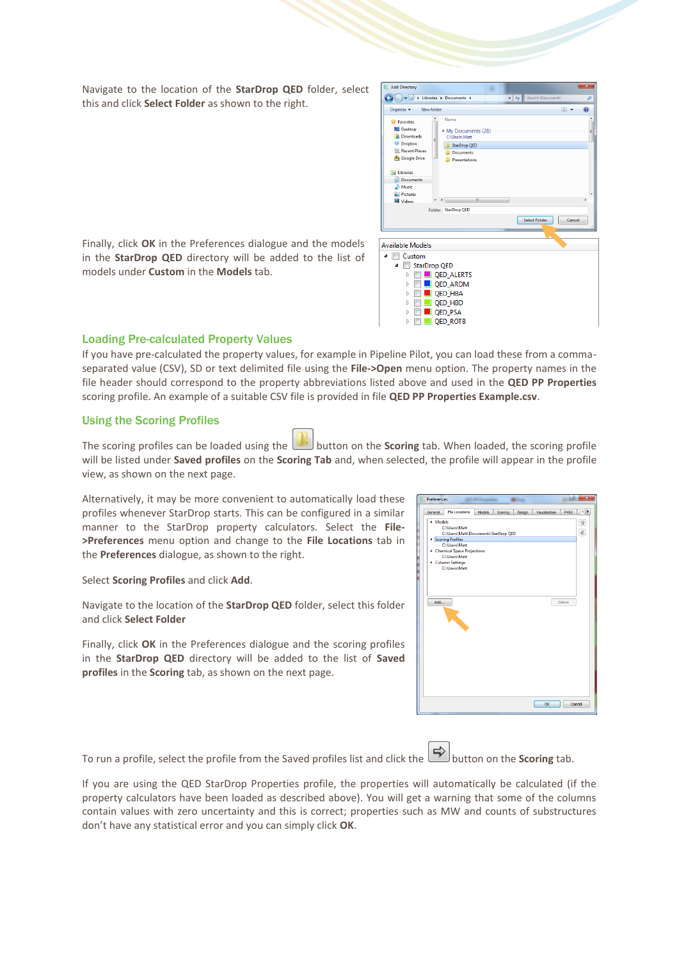Navigate to the location of the **StarDrop QED** folder, select this and click **Select Folder** as shown to the right.



Finally, click **OK** in the Preferences dialogue and the models in the **StarDrop QED** directory will be added to the list of models under **Custom** in the **Models** tab.

#### Loading Pre-calculated Property Values

If you have pre-calculated the property values, for example in Pipeline Pilot, you can load these from a commaseparated value (CSV), SD or text delimited file using the **File->Open** menu option. The property names in the file header should correspond to the property abbreviations listed above and used in the **QED PP Properties** scoring profile. An example of a suitable CSV file is provided in file **QED PP Properties Example.csv**.

#### Using the Scoring Profiles

The scoring profiles can be loaded using the button on the **Scoring** tab. When loaded, the scoring profile will be listed under **Saved profiles** on the **Scoring Tab** and, when selected, the profile will appear in the profile view, as shown on the next page.

Alternatively, it may be more convenient to automatically load these profiles whenever StarDrop starts. This can be configured in a similar manner to the StarDrop property calculators. Select the **File- >Preferences** menu option and change to the **File Locations** tab in the **Preferences** dialogue, as shown to the right.

Select **Scoring Profiles** and click **Add**.

Navigate to the location of the **StarDrop QED** folder, select this folder and click **Select Folder**

Finally, click **OK** in the Preferences dialogue and the scoring profiles in the **StarDrop QED** directory will be added to the list of **Saved profiles** in the **Scoring** tab, as shown on the next page.

| General             | <b>File Locations</b>                                                                                                                                                                                     | Models | Scoring | Design | Visualisation | P450   | ₩<br>$\overline{\mathcal{L}}$ |
|---------------------|-----------------------------------------------------------------------------------------------------------------------------------------------------------------------------------------------------------|--------|---------|--------|---------------|--------|-------------------------------|
| <sup>4</sup> Models | C:\Users\Matt<br>C:\Users\Matt\Documents\StarDrop QED<br><sup>4</sup> Scoring Profiles<br>C:\Users\Matt<br>4 Chemical Space Projections<br>C:\Users\Matt<br><sup>4</sup> Column Settings<br>C:\Users\Matt |        |         |        |               |        | 企<br>$\overline{\mathbb{Q}}$  |
| Add                 |                                                                                                                                                                                                           |        |         |        |               | Delete |                               |
|                     |                                                                                                                                                                                                           |        |         |        |               |        |                               |
|                     |                                                                                                                                                                                                           |        |         |        | OK            |        | Cancel                        |

To run a profile, select the profile from the Saved profiles list and click the **button** on the **Scoring** tab.

If you are using the QED StarDrop Properties profile, the properties will automatically be calculated (if the property calculators have been loaded as described above). You will get a warning that some of the columns contain values with zero uncertainty and this is correct; properties such as MW and counts of substructures don't have any statistical error and you can simply click **OK**.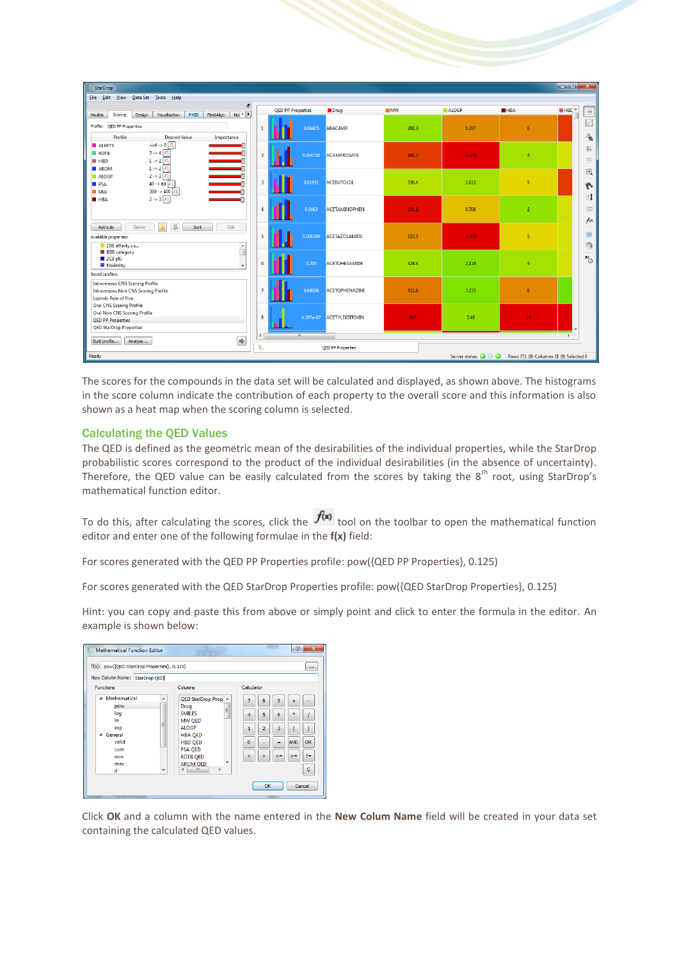| StarDrop                                                                                 |                |                          |                          |       |                    |                                        | $\begin{array}{c c c c c} \hline \multicolumn{1}{c }{\textbf{}} & \multicolumn{1}{c }{\textbf{}} & \multicolumn{1}{c }{\textbf{}} & \multicolumn{1}{c }{\textbf{}} & \multicolumn{1}{c }{\textbf{}} & \multicolumn{1}{c }{\textbf{}} & \multicolumn{1}{c }{\textbf{}} & \multicolumn{1}{c }{\textbf{}} & \multicolumn{1}{c }{\textbf{}} & \multicolumn{1}{c }{\textbf{}} & \multicolumn{1}{c }{\textbf{}} & \multicolumn{1}{c }{\textbf{$ |
|------------------------------------------------------------------------------------------|----------------|--------------------------|--------------------------|-------|--------------------|----------------------------------------|-------------------------------------------------------------------------------------------------------------------------------------------------------------------------------------------------------------------------------------------------------------------------------------------------------------------------------------------------------------------------------------------------------------------------------------------|
| File Edit View Data Set Tools Help                                                       |                |                          |                          |       |                    |                                        |                                                                                                                                                                                                                                                                                                                                                                                                                                           |
| a                                                                                        |                | <b>QED PP Properties</b> | <b>Drug</b>              | M     | <b>ALOGP</b>       | <b>HBA</b>                             | $H = HE$<br>皿                                                                                                                                                                                                                                                                                                                                                                                                                             |
| $No \triangleleft$<br>FieldAlign<br>Models<br>Visualisation<br>P450<br>Scoring<br>Design |                |                          |                          |       |                    |                                        |                                                                                                                                                                                                                                                                                                                                                                                                                                           |
| Profile:<br>QED PP Properties                                                            | $\mathbf{1}$   | 0.04405                  | ABACAVIR                 | 286.3 | 0.297              | 6                                      | $\mathbb{E}$                                                                                                                                                                                                                                                                                                                                                                                                                              |
| Profile<br><b>Desired Value</b><br>Importance                                            |                |                          |                          |       |                    |                                        | $\mathcal{A}_\infty$                                                                                                                                                                                                                                                                                                                                                                                                                      |
| $\text{-inf} \rightarrow 0$<br>ALERTS                                                    |                |                          |                          |       |                    |                                        | 睚                                                                                                                                                                                                                                                                                                                                                                                                                                         |
| E<br>$3 \rightarrow 4$ $\boxed{1}$<br><b>ROTB</b>                                        | $\overline{2}$ | 0.004258                 | ACAMPROSATE              | 181.2 | $-1.159$           | $\overline{4}$                         |                                                                                                                                                                                                                                                                                                                                                                                                                                           |
| $1 \rightarrow 2\sqrt{11}$<br>HBD                                                        |                |                          |                          |       |                    |                                        | 謂                                                                                                                                                                                                                                                                                                                                                                                                                                         |
| $1 \rightarrow 2$ $\sqrt{1}$<br><b>AROM</b><br>$2 \rightarrow 3$ $\sqrt{11}$             |                |                          |                          |       |                    |                                        | 適                                                                                                                                                                                                                                                                                                                                                                                                                                         |
| ALOGP<br>$40 \rightarrow 60$ $\boxed{J}$                                                 | 3              | 0.01841                  | <b>ACEBUTOLOL</b>        | 336.4 | 1.615              | 5                                      |                                                                                                                                                                                                                                                                                                                                                                                                                                           |
| <b>PSA</b><br>$300 - 400$<br>$\blacksquare$ MW                                           |                |                          |                          |       |                    |                                        | 心                                                                                                                                                                                                                                                                                                                                                                                                                                         |
| $2 - 3 \sqrt{1}$<br><b>E</b> HBA                                                         |                |                          |                          |       |                    |                                        | Ħ                                                                                                                                                                                                                                                                                                                                                                                                                                         |
|                                                                                          |                |                          |                          |       |                    |                                        |                                                                                                                                                                                                                                                                                                                                                                                                                                           |
|                                                                                          | $\mathbf{I}$   | 0.0463                   | <b>ACETAMINOPHEN</b>     | 151.2 | 0.708              | $\overline{2}$                         | 部                                                                                                                                                                                                                                                                                                                                                                                                                                         |
|                                                                                          |                |                          |                          |       |                    |                                        | f(x)                                                                                                                                                                                                                                                                                                                                                                                                                                      |
| 旦<br>в<br>Add rule<br>Delete<br>Edit<br>Sort                                             |                |                          |                          |       |                    |                                        |                                                                                                                                                                                                                                                                                                                                                                                                                                           |
| Available properties:                                                                    | 5              | 0.006309                 | ACETAZOLAMIDE            | 222.2 | $-1.329$           | 5                                      | 這                                                                                                                                                                                                                                                                                                                                                                                                                                         |
| 2D6 affinity ca<br>$\blacktriangle$                                                      |                |                          |                          |       |                    |                                        | $\sqrt{2}$                                                                                                                                                                                                                                                                                                                                                                                                                                |
| ī<br><b>BBB</b> category                                                                 |                |                          |                          |       |                    |                                        |                                                                                                                                                                                                                                                                                                                                                                                                                                           |
| 2C9 pKi                                                                                  | 6              | 0.209                    | <b>ACETOHEXAMIDE</b>     | 324.4 | 2.119              | $\overline{4}$                         | $R^1_{\bigcirc}$                                                                                                                                                                                                                                                                                                                                                                                                                          |
| <b>Flexibility</b>                                                                       |                |                          |                          |       |                    |                                        |                                                                                                                                                                                                                                                                                                                                                                                                                                           |
| Saved profiles:                                                                          |                |                          |                          |       |                    |                                        |                                                                                                                                                                                                                                                                                                                                                                                                                                           |
| <b>Intravenous CNS Scoring Profile</b>                                                   |                |                          |                          |       |                    |                                        |                                                                                                                                                                                                                                                                                                                                                                                                                                           |
| <b>Intravenous Non CNS Scoring Profile</b>                                               | $\overline{7}$ | 0.08696                  | ACETOPHENAZINE           | 411.6 | 3.233              | 6                                      |                                                                                                                                                                                                                                                                                                                                                                                                                                           |
| Lipinski Rule of Five                                                                    |                |                          |                          |       |                    |                                        |                                                                                                                                                                                                                                                                                                                                                                                                                                           |
| <b>Oral CNS Scoring Profile</b>                                                          |                |                          |                          |       |                    |                                        |                                                                                                                                                                                                                                                                                                                                                                                                                                           |
| <b>Oral Non CNS Scoring Profile</b><br><b>QED PP Properties</b>                          | 8              | 4.197e-07                | ACETYLDIGITOXIN          | 807   | 3.48               | 14                                     |                                                                                                                                                                                                                                                                                                                                                                                                                                           |
| <b>QED StarDrop Properties</b>                                                           |                |                          |                          |       |                    |                                        |                                                                                                                                                                                                                                                                                                                                                                                                                                           |
|                                                                                          | $\leftarrow$   | $\mathbf{H}_1$           |                          |       |                    |                                        | ×.                                                                                                                                                                                                                                                                                                                                                                                                                                        |
| $\Rightarrow$<br>Build profile<br>Analyse                                                |                |                          |                          |       |                    |                                        |                                                                                                                                                                                                                                                                                                                                                                                                                                           |
|                                                                                          | 娱              |                          | <b>OED PP Properties</b> |       |                    |                                        |                                                                                                                                                                                                                                                                                                                                                                                                                                           |
| Ready                                                                                    |                |                          |                          |       | Server status: 0 0 | Rows 771 (0) Columns 21 (0) Selected 0 |                                                                                                                                                                                                                                                                                                                                                                                                                                           |

The scores for the compounds in the data set will be calculated and displayed, as shown above. The histograms in the score column indicate the contribution of each property to the overall score and this information is also shown as a heat map when the scoring column is selected.

#### Calculating the QED Values

The QED is defined as the geometric mean of the desirabilities of the individual properties, while the StarDrop probabilistic scores correspond to the product of the individual desirabilities (in the absence of uncertainty). Therefore, the QED value can be easily calculated from the scores by taking the  $8^{th}$  root, using StarDrop's mathematical function editor.

To do this, after calculating the scores, click the  $f(x)$  tool on the toolbar to open the mathematical function editor and enter one of the following formulae in the **f(x)** field:

For scores generated with the QED PP Properties profile: pow({QED PP Properties}, 0.125)

For scores generated with the QED StarDrop Properties profile: pow({QED StarDrop Properties}, 0.125)

Hint: you can copy and paste this from above or simply point and click to enter the formula in the editor. An example is shown below:

| Mathematical Function Editor<br>f(x): pow({QED StarDrop Properties}, 0.125)<br>New Column Name: StarDrop QED |                                    |                                                                                                                                                                                             |                                                                                         | P<br>$\mathbf{x}$<br>$\cdots$                                         |
|--------------------------------------------------------------------------------------------------------------|------------------------------------|---------------------------------------------------------------------------------------------------------------------------------------------------------------------------------------------|-----------------------------------------------------------------------------------------|-----------------------------------------------------------------------|
| <b>Functions</b>                                                                                             |                                    | Columns                                                                                                                                                                                     | Calculator                                                                              |                                                                       |
| <sup>4</sup> Mathematical<br>pow<br>log<br>In<br>exp<br>General<br>◢<br>valid<br>sum<br>min<br>max<br>ïf     | $\overline{\phantom{a}}$<br>Ε<br>۰ | QED StarDrop Prop A<br>Drug<br>Ξ<br><b>SMILES</b><br><b>MW OED</b><br><b>ALOGP</b><br><b>HBA QED</b><br><b>HBD QED</b><br>PSA QED<br><b>ROTB QED</b><br>٠<br><b>AROM OED</b><br>Ш<br>r<br>∢ | 7<br>8<br>9<br>5<br>6<br>4<br>3<br>$\overline{2}$<br>0<br>=<br>$\leq$ =<br>⋖<br>5<br>OK | ÷<br><b>OR</b><br><b>AND</b><br>$>=$<br>$\mathbf{I} =$<br>c<br>Cancel |

Click **OK** and a column with the name entered in the **New Colum Name** field will be created in your data set containing the calculated QED values.